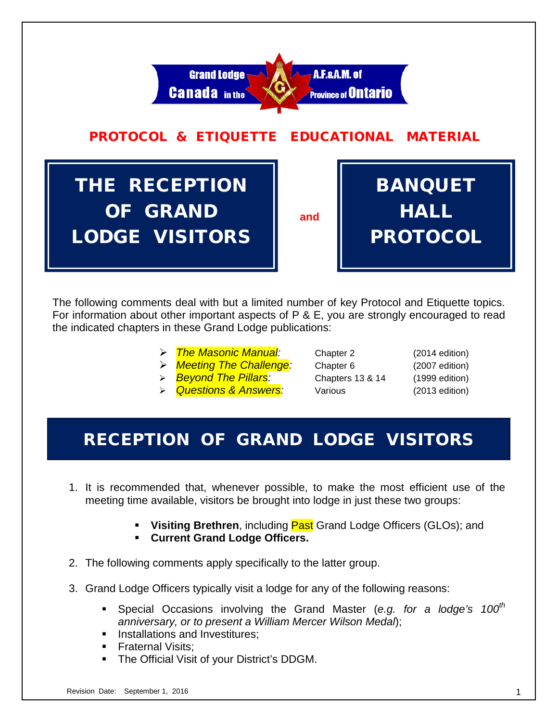

The following comments deal with but a limited number of key Protocol and Etiquette topics. For information about other important aspects of P & E, you are strongly encouraged to read the indicated chapters in these Grand Lodge publications:

- *The Masonic Manual:* Chapter 2 (2014 edition)
- *Meeting The Challenge:* Chapter 6 (2007 edition)
- *Beyond The Pillars:* Chapters 13 & 14 (1999 edition)
- *Questions & Answers:* Various (2013 edition)

# RECEPTION OF GRAND LODGE VISITORS

- 1. It is recommended that, whenever possible, to make the most efficient use of the meeting time available, visitors be brought into lodge in just these two groups:
	- **Visiting Brethren**, including **Past** Grand Lodge Officers (GLOs); and
	- **Current Grand Lodge Officers.**
- 2. The following comments apply specifically to the latter group.
- 3. Grand Lodge Officers typically visit a lodge for any of the following reasons:
	- Special Occasions involving the Grand Master (*e.g. for a lodge's 100th anniversary, or to present a William Mercer Wilson Medal*);
	- **Installations and Investitures:**
	- Fraternal Visits;
	- The Official Visit of your District's DDGM.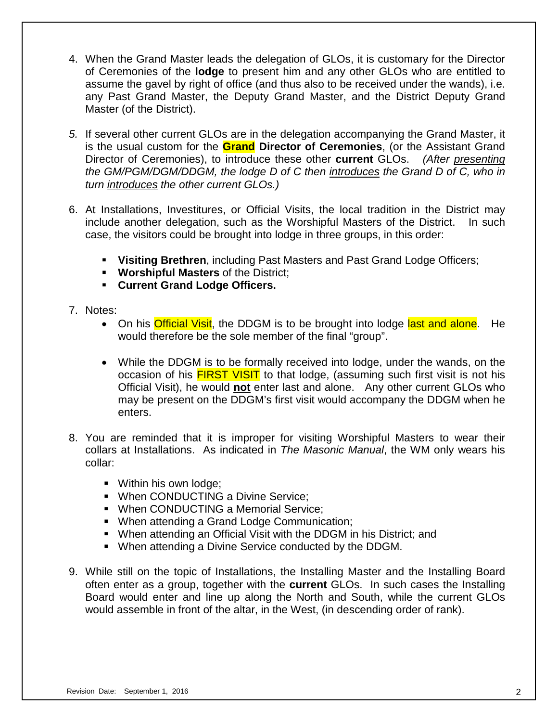- 4. When the Grand Master leads the delegation of GLOs, it is customary for the Director of Ceremonies of the **lodge** to present him and any other GLOs who are entitled to assume the gavel by right of office (and thus also to be received under the wands), i.e. any Past Grand Master, the Deputy Grand Master, and the District Deputy Grand Master (of the District).
- *5.* If several other current GLOs are in the delegation accompanying the Grand Master, it is the usual custom for the **Grand Director of Ceremonies**, (or the Assistant Grand Director of Ceremonies), to introduce these other **current** GLOs. *(After presenting the GM/PGM/DGM/DDGM, the lodge D of C then introduces the Grand D of C, who in turn introduces the other current GLOs.)*
- 6. At Installations, Investitures, or Official Visits, the local tradition in the District may include another delegation, such as the Worshipful Masters of the District. In such case, the visitors could be brought into lodge in three groups, in this order:
	- **Visiting Brethren**, including Past Masters and Past Grand Lodge Officers;
	- **Worshipful Masters** of the District;
	- **Current Grand Lodge Officers.**
- 7. Notes:
	- On his **Official Visit**, the DDGM is to be brought into lodge last and alone. He would therefore be the sole member of the final "group".
	- While the DDGM is to be formally received into lodge, under the wands, on the occasion of his **FIRST VISIT** to that lodge, (assuming such first visit is not his Official Visit), he would **not** enter last and alone. Any other current GLOs who may be present on the DDGM's first visit would accompany the DDGM when he enters.
- 8. You are reminded that it is improper for visiting Worshipful Masters to wear their collars at Installations. As indicated in *The Masonic Manual*, the WM only wears his collar:
	- **Within his own lodge;**
	- **When CONDUCTING a Divine Service;**
	- When CONDUCTING a Memorial Service;
	- When attending a Grand Lodge Communication;
	- When attending an Official Visit with the DDGM in his District; and
	- When attending a Divine Service conducted by the DDGM.
- 9. While still on the topic of Installations, the Installing Master and the Installing Board often enter as a group, together with the **current** GLOs. In such cases the Installing Board would enter and line up along the North and South, while the current GLOs would assemble in front of the altar, in the West, (in descending order of rank).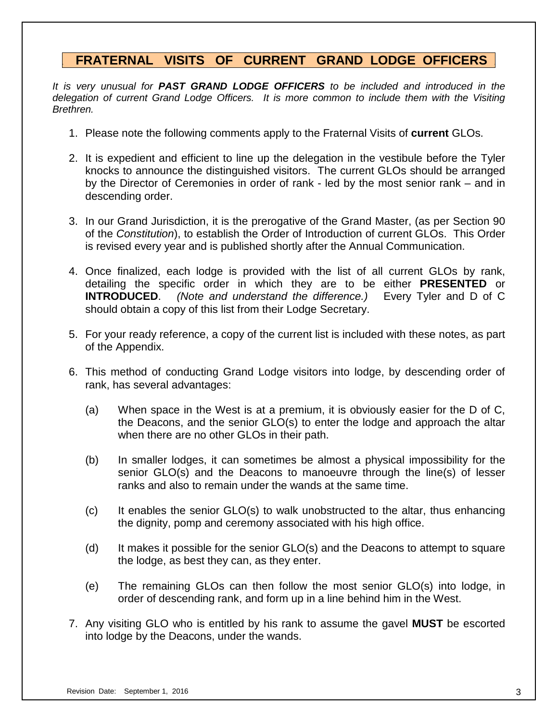# **. FRATERNAL VISITS OF CURRENT GRAND LODGE OFFICERS .**

*It is very unusual for PAST GRAND LODGE OFFICERS to be included and introduced in the delegation of current Grand Lodge Officers. It is more common to include them with the Visiting Brethren.*

- 1. Please note the following comments apply to the Fraternal Visits of **current** GLOs.
- 2. It is expedient and efficient to line up the delegation in the vestibule before the Tyler knocks to announce the distinguished visitors. The current GLOs should be arranged by the Director of Ceremonies in order of rank - led by the most senior rank – and in descending order.
- 3. In our Grand Jurisdiction, it is the prerogative of the Grand Master, (as per Section 90 of the *Constitution*), to establish the Order of Introduction of current GLOs. This Order is revised every year and is published shortly after the Annual Communication.
- 4. Once finalized, each lodge is provided with the list of all current GLOs by rank, detailing the specific order in which they are to be either **PRESENTED** or **INTRODUCED**. *(Note and understand the difference.)* Every Tyler and D of C should obtain a copy of this list from their Lodge Secretary.
- 5. For your ready reference, a copy of the current list is included with these notes, as part of the Appendix.
- 6. This method of conducting Grand Lodge visitors into lodge, by descending order of rank, has several advantages:
	- (a) When space in the West is at a premium, it is obviously easier for the D of C, the Deacons, and the senior GLO(s) to enter the lodge and approach the altar when there are no other GLOs in their path.
	- (b) In smaller lodges, it can sometimes be almost a physical impossibility for the senior GLO(s) and the Deacons to manoeuvre through the line(s) of lesser ranks and also to remain under the wands at the same time.
	- (c) It enables the senior GLO(s) to walk unobstructed to the altar, thus enhancing the dignity, pomp and ceremony associated with his high office.
	- (d) It makes it possible for the senior GLO(s) and the Deacons to attempt to square the lodge, as best they can, as they enter.
	- (e) The remaining GLOs can then follow the most senior GLO(s) into lodge, in order of descending rank, and form up in a line behind him in the West.
- 7. Any visiting GLO who is entitled by his rank to assume the gavel **MUST** be escorted into lodge by the Deacons, under the wands.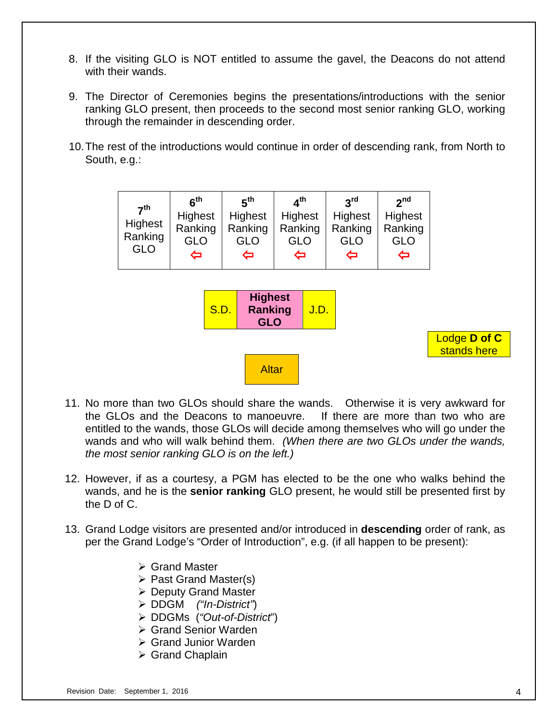- 8. If the visiting GLO is NOT entitled to assume the gavel, the Deacons do not attend with their wands.
- 9. The Director of Ceremonies begins the presentations/introductions with the senior ranking GLO present, then proceeds to the second most senior ranking GLO, working through the remainder in descending order.
- 10.The rest of the introductions would continue in order of descending rank, from North to South, e.g.:



- 11. No more than two GLOs should share the wands. Otherwise it is very awkward for the GLOs and the Deacons to manoeuvre. If there are more than two who are entitled to the wands, those GLOs will decide among themselves who will go under the wands and who will walk behind them. *(When there are two GLOs under the wands, the most senior ranking GLO is on the left.)*
- 12. However, if as a courtesy, a PGM has elected to be the one who walks behind the wands, and he is the **senior ranking** GLO present, he would still be presented first by the D of C.
- 13. Grand Lodge visitors are presented and/or introduced in **descending** order of rank, as per the Grand Lodge's "Order of Introduction", e.g. (if all happen to be present):
	- Grand Master
	- $\triangleright$  Past Grand Master(s)
	- Deputy Grand Master
	- DDGM *("In-District"*)
	- DDGMs (*"Out-of-District*")
	- **≻ Grand Senior Warden**
	- Grand Junior Warden
	- $\triangleright$  Grand Chaplain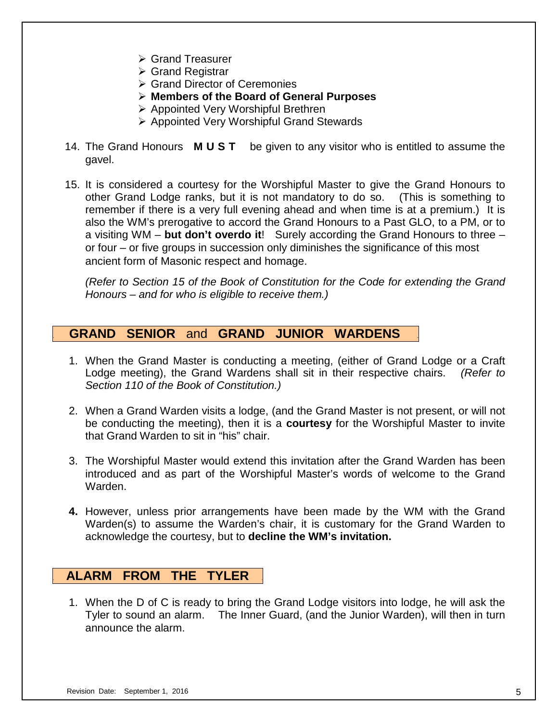- **► Grand Treasurer**
- $\triangleright$  Grand Registrar
- **▶ Grand Director of Ceremonies**
- **Members of the Board of General Purposes**
- **▶ Appointed Very Worshipful Brethren**
- Appointed Very Worshipful Grand Stewards
- 14. The Grand Honours **M U S T** be given to any visitor who is entitled to assume the gavel.
- 15. It is considered a courtesy for the Worshipful Master to give the Grand Honours to other Grand Lodge ranks, but it is not mandatory to do so. (This is something to remember if there is a very full evening ahead and when time is at a premium.) It is also the WM's prerogative to accord the Grand Honours to a Past GLO, to a PM, or to a visiting WM – **but don't overdo it**! Surely according the Grand Honours to three – or four – or five groups in succession only diminishes the significance of this most ancient form of Masonic respect and homage.

*(Refer to Section 15 of the Book of Constitution for the Code for extending the Grand Honours – and for who is eligible to receive them.)*

## **. GRAND SENIOR** and **GRAND JUNIOR WARDENS .**

- 1. When the Grand Master is conducting a meeting, (either of Grand Lodge or a Craft Lodge meeting), the Grand Wardens shall sit in their respective chairs. *(Refer to Section 110 of the Book of Constitution.)*
- 2. When a Grand Warden visits a lodge, (and the Grand Master is not present, or will not be conducting the meeting), then it is a **courtesy** for the Worshipful Master to invite that Grand Warden to sit in "his" chair.
- 3. The Worshipful Master would extend this invitation after the Grand Warden has been introduced and as part of the Worshipful Master's words of welcome to the Grand Warden.
- **4.** However, unless prior arrangements have been made by the WM with the Grand Warden(s) to assume the Warden's chair, it is customary for the Grand Warden to acknowledge the courtesy, but to **decline the WM's invitation.**

## **. ALARM FROM THE TYLER .**

1. When the D of C is ready to bring the Grand Lodge visitors into lodge, he will ask the Tyler to sound an alarm. The Inner Guard, (and the Junior Warden), will then in turn announce the alarm.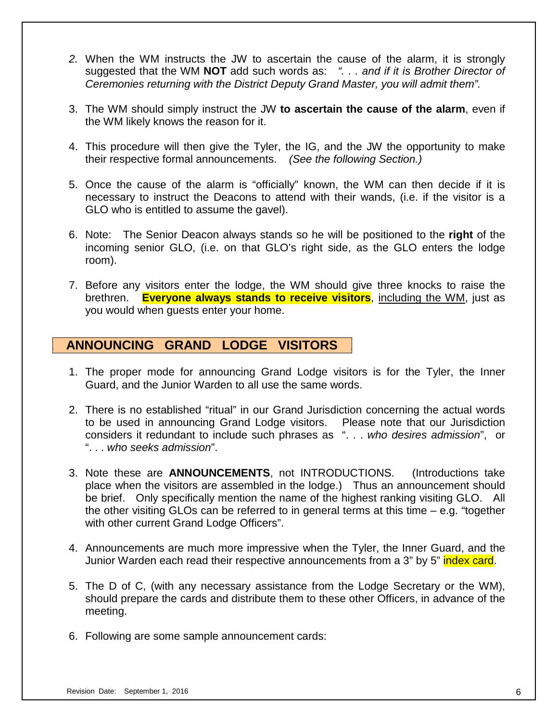- *2.* When the WM instructs the JW to ascertain the cause of the alarm, it is strongly suggested that the WM **NOT** add such words as: *". . . and if it is Brother Director of Ceremonies returning with the District Deputy Grand Master, you will admit them".*
- 3. The WM should simply instruct the JW **to ascertain the cause of the alarm**, even if the WM likely knows the reason for it.
- 4. This procedure will then give the Tyler, the IG, and the JW the opportunity to make their respective formal announcements. *(See the following Section.)*
- 5. Once the cause of the alarm is "officially" known, the WM can then decide if it is necessary to instruct the Deacons to attend with their wands, (i.e. if the visitor is a GLO who is entitled to assume the gavel).
- 6. Note: The Senior Deacon always stands so he will be positioned to the **right** of the incoming senior GLO, (i.e. on that GLO's right side, as the GLO enters the lodge room).
- 7. Before any visitors enter the lodge, the WM should give three knocks to raise the brethren. **Everyone always stands to receive visitors**, including the WM, just as you would when guests enter your home.

# **. ANNOUNCING GRAND LODGE VISITORS .**

- 1. The proper mode for announcing Grand Lodge visitors is for the Tyler, the Inner Guard, and the Junior Warden to all use the same words.
- 2. There is no established "ritual" in our Grand Jurisdiction concerning the actual words to be used in announcing Grand Lodge visitors. Please note that our Jurisdiction considers it redundant to include such phrases as ". . . *who desires admission*", or ". . . *who seeks admission*".
- 3. Note these are **ANNOUNCEMENTS**, not INTRODUCTIONS. (Introductions take place when the visitors are assembled in the lodge.) Thus an announcement should be brief. Only specifically mention the name of the highest ranking visiting GLO. All the other visiting GLOs can be referred to in general terms at this time – e.g. "together with other current Grand Lodge Officers".
- 4. Announcements are much more impressive when the Tyler, the Inner Guard, and the Junior Warden each read their respective announcements from a 3" by 5" index card.
- 5. The D of C, (with any necessary assistance from the Lodge Secretary or the WM), should prepare the cards and distribute them to these other Officers, in advance of the meeting.
- 6. Following are some sample announcement cards: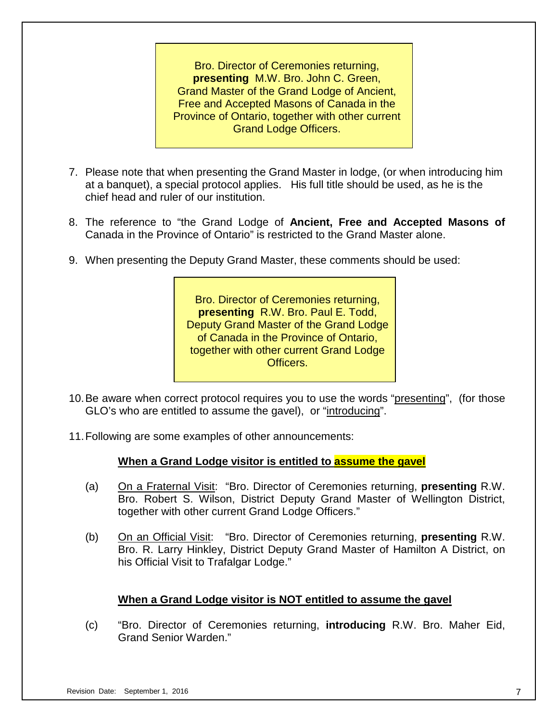Bro. Director of Ceremonies returning, **presenting** M.W. Bro. John C. Green, Grand Master of the Grand Lodge of Ancient, Free and Accepted Masons of Canada in the Province of Ontario, together with other current Grand Lodge Officers.

- 7. Please note that when presenting the Grand Master in lodge, (or when introducing him at a banquet), a special protocol applies. His full title should be used, as he is the chief head and ruler of our institution.
- 8. The reference to "the Grand Lodge of **Ancient, Free and Accepted Masons of** Canada in the Province of Ontario" is restricted to the Grand Master alone.
- 9. When presenting the Deputy Grand Master, these comments should be used:

Bro. Director of Ceremonies returning, **presenting** R.W. Bro. Paul E. Todd, Deputy Grand Master of the Grand Lodge of Canada in the Province of Ontario, together with other current Grand Lodge Officers.

- 10.Be aware when correct protocol requires you to use the words "presenting", (for those GLO's who are entitled to assume the gavel), or "introducing".
- 11.Following are some examples of other announcements:

## **When a Grand Lodge visitor is entitled to assume the gavel**

- (a) On a Fraternal Visit: "Bro. Director of Ceremonies returning, **presenting** R.W. Bro. Robert S. Wilson, District Deputy Grand Master of Wellington District, together with other current Grand Lodge Officers."
- (b) On an Official Visit: "Bro. Director of Ceremonies returning, **presenting** R.W. Bro. R. Larry Hinkley, District Deputy Grand Master of Hamilton A District, on his Official Visit to Trafalgar Lodge."

## **When a Grand Lodge visitor is NOT entitled to assume the gavel**

(c) "Bro. Director of Ceremonies returning, **introducing** R.W. Bro. Maher Eid, Grand Senior Warden."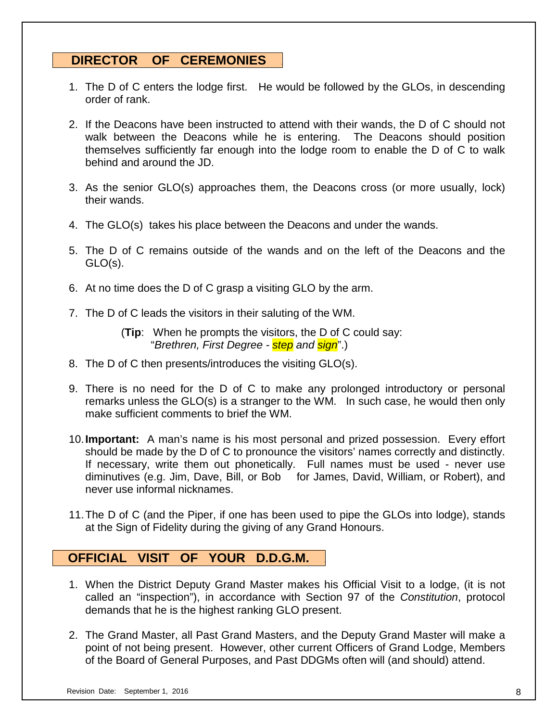# **. DIRECTOR OF CEREMONIES .**

- 1. The D of C enters the lodge first. He would be followed by the GLOs, in descending order of rank.
- 2. If the Deacons have been instructed to attend with their wands, the D of C should not walk between the Deacons while he is entering. The Deacons should position themselves sufficiently far enough into the lodge room to enable the D of C to walk behind and around the JD.
- 3. As the senior GLO(s) approaches them, the Deacons cross (or more usually, lock) their wands.
- 4. The GLO(s) takes his place between the Deacons and under the wands.
- 5. The D of C remains outside of the wands and on the left of the Deacons and the GLO(s).
- 6. At no time does the D of C grasp a visiting GLO by the arm.
- 7. The D of C leads the visitors in their saluting of the WM.

(**Tip**: When he prompts the visitors, the D of C could say: "*Brethren, First Degree - step and sign*".)

- 8. The D of C then presents/introduces the visiting GLO(s).
- 9. There is no need for the D of C to make any prolonged introductory or personal remarks unless the GLO(s) is a stranger to the WM. In such case, he would then only make sufficient comments to brief the WM.
- 10.**Important:** A man's name is his most personal and prized possession. Every effort should be made by the D of C to pronounce the visitors' names correctly and distinctly. If necessary, write them out phonetically. Full names must be used - never use diminutives (e.g. Jim, Dave, Bill, or Bob for James, David, William, or Robert), and never use informal nicknames.
- 11.The D of C (and the Piper, if one has been used to pipe the GLOs into lodge), stands at the Sign of Fidelity during the giving of any Grand Honours.

# **OFFICIAL VISIT OF YOUR D.D.G.M. .**

- 1. When the District Deputy Grand Master makes his Official Visit to a lodge, (it is not called an "inspection"), in accordance with Section 97 of the *Constitution*, protocol demands that he is the highest ranking GLO present.
- 2. The Grand Master, all Past Grand Masters, and the Deputy Grand Master will make a point of not being present. However, other current Officers of Grand Lodge, Members of the Board of General Purposes, and Past DDGMs often will (and should) attend.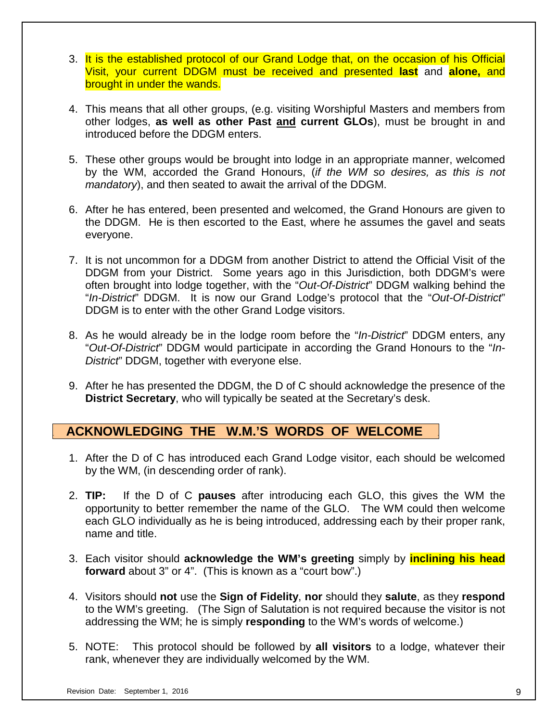- 3. It is the established protocol of our Grand Lodge that, on the occasion of his Official Visit, your current DDGM must be received and presented **last** and **alone,** and brought in under the wands.
- 4. This means that all other groups, (e.g. visiting Worshipful Masters and members from other lodges, **as well as other Past and current GLOs**), must be brought in and introduced before the DDGM enters.
- 5. These other groups would be brought into lodge in an appropriate manner, welcomed by the WM, accorded the Grand Honours, (*if the WM so desires, as this is not mandatory*), and then seated to await the arrival of the DDGM.
- 6. After he has entered, been presented and welcomed, the Grand Honours are given to the DDGM. He is then escorted to the East, where he assumes the gavel and seats everyone.
- 7. It is not uncommon for a DDGM from another District to attend the Official Visit of the DDGM from your District. Some years ago in this Jurisdiction, both DDGM's were often brought into lodge together, with the "*Out-Of-District*" DDGM walking behind the "*In-District*" DDGM. It is now our Grand Lodge's protocol that the "*Out-Of-District*" DDGM is to enter with the other Grand Lodge visitors.
- 8. As he would already be in the lodge room before the "*In-District*" DDGM enters, any "*Out-Of-District*" DDGM would participate in according the Grand Honours to the "*In-District*" DDGM, together with everyone else.
- 9. After he has presented the DDGM, the D of C should acknowledge the presence of the **District Secretary**, who will typically be seated at the Secretary's desk.

# **. ACKNOWLEDGING THE W.M.'S WORDS OF WELCOME .**

- 1. After the D of C has introduced each Grand Lodge visitor, each should be welcomed by the WM, (in descending order of rank).
- 2. **TIP:** If the D of C **pauses** after introducing each GLO, this gives the WM the opportunity to better remember the name of the GLO. The WM could then welcome each GLO individually as he is being introduced, addressing each by their proper rank, name and title.
- 3. Each visitor should **acknowledge the WM's greeting** simply by **inclining his head forward** about 3" or 4". (This is known as a "court bow".)
- 4. Visitors should **not** use the **Sign of Fidelity**, **nor** should they **salute**, as they **respond** to the WM's greeting. (The Sign of Salutation is not required because the visitor is not addressing the WM; he is simply **responding** to the WM's words of welcome.)
- 5. NOTE: This protocol should be followed by **all visitors** to a lodge, whatever their rank, whenever they are individually welcomed by the WM.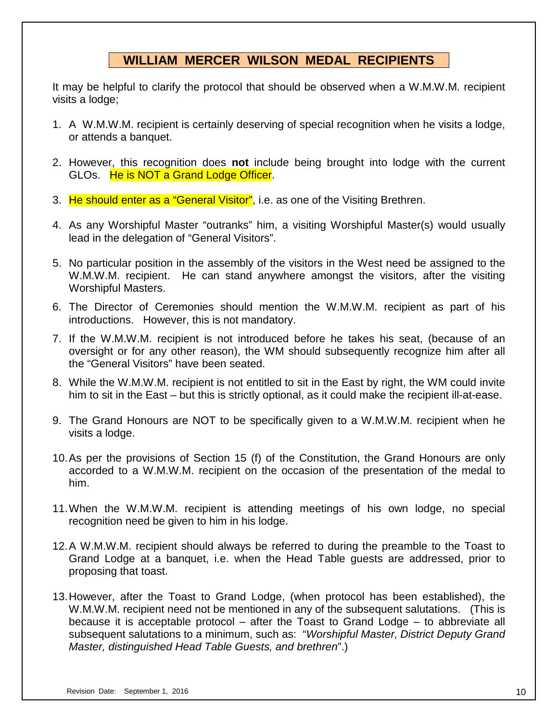# **. WILLIAM MERCER WILSON MEDAL RECIPIENTS .**

It may be helpful to clarify the protocol that should be observed when a W.M.W.M. recipient visits a lodge;

- 1. A W.M.W.M. recipient is certainly deserving of special recognition when he visits a lodge, or attends a banquet.
- 2. However, this recognition does **not** include being brought into lodge with the current GLOs. He is NOT a Grand Lodge Officer.
- 3. He should enter as a "General Visitor", i.e. as one of the Visiting Brethren.
- 4. As any Worshipful Master "outranks" him, a visiting Worshipful Master(s) would usually lead in the delegation of "General Visitors".
- 5. No particular position in the assembly of the visitors in the West need be assigned to the W.M.W.M. recipient. He can stand anywhere amongst the visitors, after the visiting Worshipful Masters.
- 6. The Director of Ceremonies should mention the W.M.W.M. recipient as part of his introductions. However, this is not mandatory.
- 7. If the W.M.W.M. recipient is not introduced before he takes his seat, (because of an oversight or for any other reason), the WM should subsequently recognize him after all the "General Visitors" have been seated.
- 8. While the W.M.W.M. recipient is not entitled to sit in the East by right, the WM could invite him to sit in the East – but this is strictly optional, as it could make the recipient ill-at-ease.
- 9. The Grand Honours are NOT to be specifically given to a W.M.W.M. recipient when he visits a lodge.
- 10.As per the provisions of Section 15 (f) of the Constitution, the Grand Honours are only accorded to a W.M.W.M. recipient on the occasion of the presentation of the medal to him.
- 11.When the W.M.W.M. recipient is attending meetings of his own lodge, no special recognition need be given to him in his lodge.
- 12.A W.M.W.M. recipient should always be referred to during the preamble to the Toast to Grand Lodge at a banquet, i.e. when the Head Table guests are addressed, prior to proposing that toast.
- 13.However, after the Toast to Grand Lodge, (when protocol has been established), the W.M.W.M. recipient need not be mentioned in any of the subsequent salutations. (This is because it is acceptable protocol – after the Toast to Grand Lodge – to abbreviate all subsequent salutations to a minimum, such as: "*Worshipful Master, District Deputy Grand Master, distinguished Head Table Guests, and brethren*".)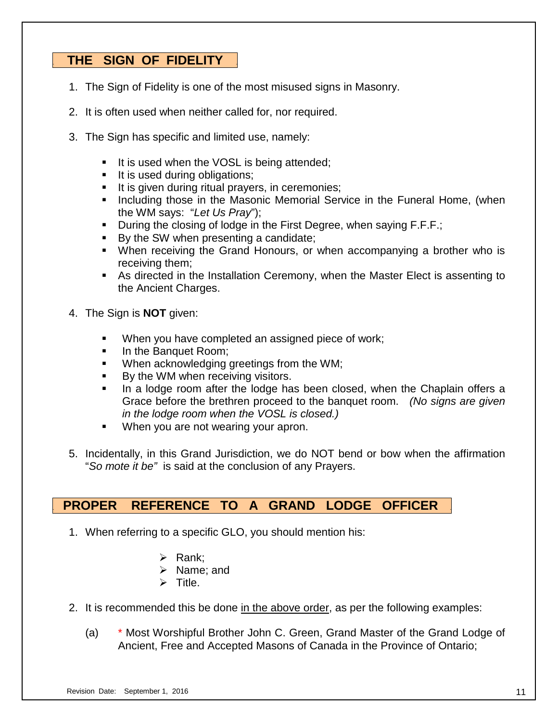# **. THE SIGN OF FIDELITY .**

- 1. The Sign of Fidelity is one of the most misused signs in Masonry.
- 2. It is often used when neither called for, nor required.
- 3. The Sign has specific and limited use, namely:
	- It is used when the VOSL is being attended;
	- It is used during obligations;
	- It is given during ritual prayers, in ceremonies;
	- **Including those in the Masonic Memorial Service in the Funeral Home, (when** the WM says: "*Let Us Pray*");
	- During the closing of lodge in the First Degree, when saying F.F.F.;
	- By the SW when presenting a candidate;
	- When receiving the Grand Honours, or when accompanying a brother who is receiving them;
	- As directed in the Installation Ceremony, when the Master Elect is assenting to the Ancient Charges.
- 4. The Sign is **NOT** given:
	- When you have completed an assigned piece of work;
	- In the Banquet Room;
	- When acknowledging greetings from the WM;
	- By the WM when receiving visitors.
	- In a lodge room after the lodge has been closed, when the Chaplain offers a Grace before the brethren proceed to the banquet room. *(No signs are given in the lodge room when the VOSL is closed.)*
	- When you are not wearing your apron.
- 5. Incidentally, in this Grand Jurisdiction, we do NOT bend or bow when the affirmation "*So mote it be"* is said at the conclusion of any Prayers.

# **. PROPER REFERENCE TO A GRAND LODGE OFFICER .**

- 1. When referring to a specific GLO, you should mention his:
	- $\triangleright$  Rank:
	- $\triangleright$  Name: and
	- $\triangleright$  Title.
- 2. It is recommended this be done in the above order, as per the following examples:
	- (a) \* Most Worshipful Brother John C. Green, Grand Master of the Grand Lodge of Ancient, Free and Accepted Masons of Canada in the Province of Ontario;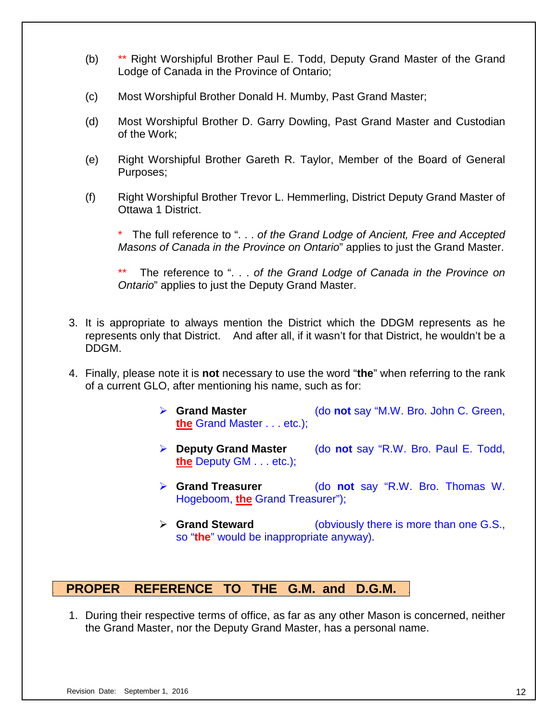- (b) \*\* Right Worshipful Brother Paul E. Todd, Deputy Grand Master of the Grand Lodge of Canada in the Province of Ontario;
- (c) Most Worshipful Brother Donald H. Mumby, Past Grand Master;
- (d) Most Worshipful Brother D. Garry Dowling, Past Grand Master and Custodian of the Work;
- (e) Right Worshipful Brother Gareth R. Taylor, Member of the Board of General Purposes;
- (f) Right Worshipful Brother Trevor L. Hemmerling, District Deputy Grand Master of Ottawa 1 District.

\* The full reference to ". . . *of the Grand Lodge of Ancient, Free and Accepted Masons of Canada in the Province on Ontario*" applies to just the Grand Master.

\*\* The reference to ". . . *of the Grand Lodge of Canada in the Province on Ontario*" applies to just the Deputy Grand Master.

- 3. It is appropriate to always mention the District which the DDGM represents as he represents only that District. And after all, if it wasn't for that District, he wouldn't be a DDGM.
- 4. Finally, please note it is **not** necessary to use the word "**the**" when referring to the rank of a current GLO, after mentioning his name, such as for:
	- **Grand Master** (do **not** say "M.W. Bro. John C. Green, **the** Grand Master . . . etc.);
	- **Deputy Grand Master** (do **not** say "R.W. Bro. Paul E. Todd, **the** Deputy GM . . . etc.);
	- **Grand Treasurer** (do **not** say "R.W. Bro. Thomas W. Hogeboom, **the** Grand Treasurer");
	- **Grand Steward** (obviously there is more than one G.S., so "**the**" would be inappropriate anyway).

# **. PROPER REFERENCE TO THE G.M. and D.G.M. .**

1. During their respective terms of office, as far as any other Mason is concerned, neither the Grand Master, nor the Deputy Grand Master, has a personal name.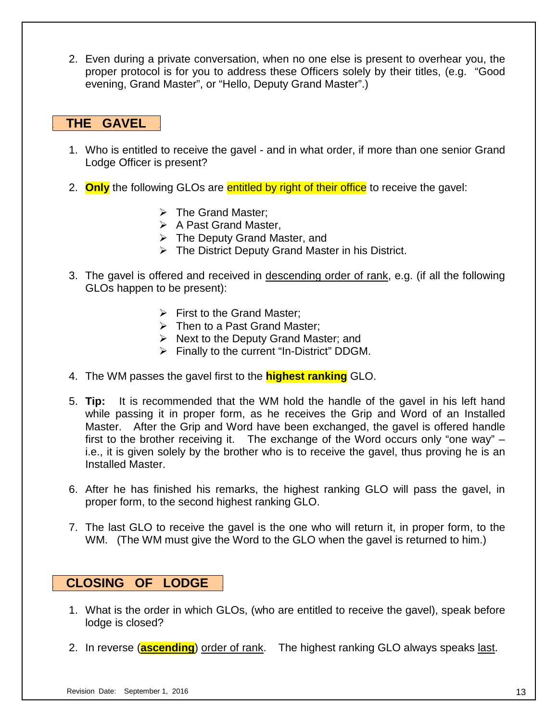2. Even during a private conversation, when no one else is present to overhear you, the proper protocol is for you to address these Officers solely by their titles, (e.g. "Good evening, Grand Master", or "Hello, Deputy Grand Master".)

# **. THE GAVEL .**

- 1. Who is entitled to receive the gavel and in what order, if more than one senior Grand Lodge Officer is present?
- 2. **Only** the following GLOs are entitled by right of their office to receive the gavel:
	- $\triangleright$  The Grand Master;
	- $\triangleright$  A Past Grand Master,
	- The Deputy Grand Master, and
	- $\triangleright$  The District Deputy Grand Master in his District.
- 3. The gavel is offered and received in descending order of rank, e.g. (if all the following GLOs happen to be present):
	- $\triangleright$  First to the Grand Master:
	- $\triangleright$  Then to a Past Grand Master;
	- $\triangleright$  Next to the Deputy Grand Master; and
	- $\triangleright$  Finally to the current "In-District" DDGM.
- 4. The WM passes the gavel first to the **highest ranking** GLO.
- 5. **Tip:** It is recommended that the WM hold the handle of the gavel in his left hand while passing it in proper form, as he receives the Grip and Word of an Installed Master. After the Grip and Word have been exchanged, the gavel is offered handle first to the brother receiving it. The exchange of the Word occurs only "one way" – i.e., it is given solely by the brother who is to receive the gavel, thus proving he is an Installed Master.
- 6. After he has finished his remarks, the highest ranking GLO will pass the gavel, in proper form, to the second highest ranking GLO.
- 7. The last GLO to receive the gavel is the one who will return it, in proper form, to the WM. (The WM must give the Word to the GLO when the gavel is returned to him.)

## **. CLOSING OF LODGE .**

- 1. What is the order in which GLOs, (who are entitled to receive the gavel), speak before lodge is closed?
- 2. In reverse (**ascending**) order of rank. The highest ranking GLO always speaks last.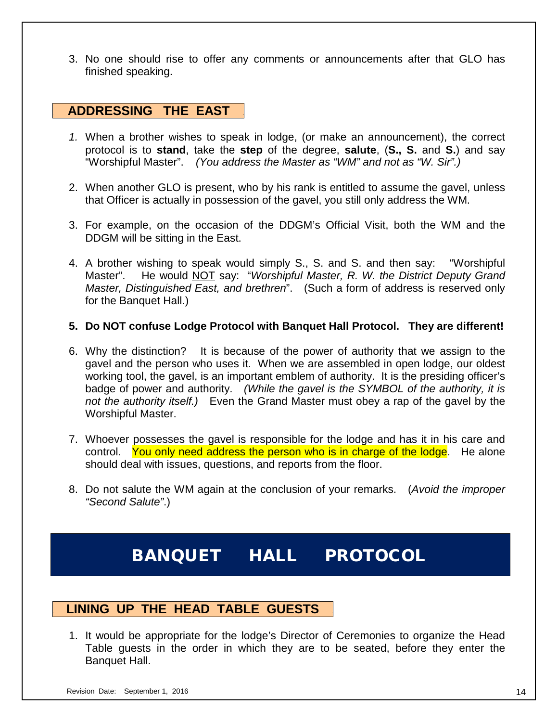3. No one should rise to offer any comments or announcements after that GLO has finished speaking.

## **. ADDRESSING THE EAST .**

- *1.* When a brother wishes to speak in lodge, (or make an announcement), the correct protocol is to **stand**, take the **step** of the degree, **salute**, (**S., S.** and **S.**) and say "Worshipful Master". *(You address the Master as "WM" and not as "W. Sir".)*
- 2. When another GLO is present, who by his rank is entitled to assume the gavel, unless that Officer is actually in possession of the gavel, you still only address the WM.
- 3. For example, on the occasion of the DDGM's Official Visit, both the WM and the DDGM will be sitting in the East.
- 4. A brother wishing to speak would simply S., S. and S. and then say: "Worshipful Master". He would NOT say: "*Worshipful Master, R. W. the District Deputy Grand Master, Distinguished East, and brethren*". (Such a form of address is reserved only for the Banquet Hall.)

#### **5. Do NOT confuse Lodge Protocol with Banquet Hall Protocol. They are different!**

- 6. Why the distinction? It is because of the power of authority that we assign to the gavel and the person who uses it. When we are assembled in open lodge, our oldest working tool, the gavel, is an important emblem of authority. It is the presiding officer's badge of power and authority. *(While the gavel is the SYMBOL of the authority, it is not the authority itself.)* Even the Grand Master must obey a rap of the gavel by the Worshipful Master.
- 7. Whoever possesses the gavel is responsible for the lodge and has it in his care and control. You only need address the person who is in charge of the lodge. He alone should deal with issues, questions, and reports from the floor.
- 8. Do not salute the WM again at the conclusion of your remarks. (*Avoid the improper "Second Salute"*.)

# BANQUET HALL PROTOCOL

## **. LINING UP THE HEAD TABLE GUESTS .**

1. It would be appropriate for the lodge's Director of Ceremonies to organize the Head Table guests in the order in which they are to be seated, before they enter the Banquet Hall.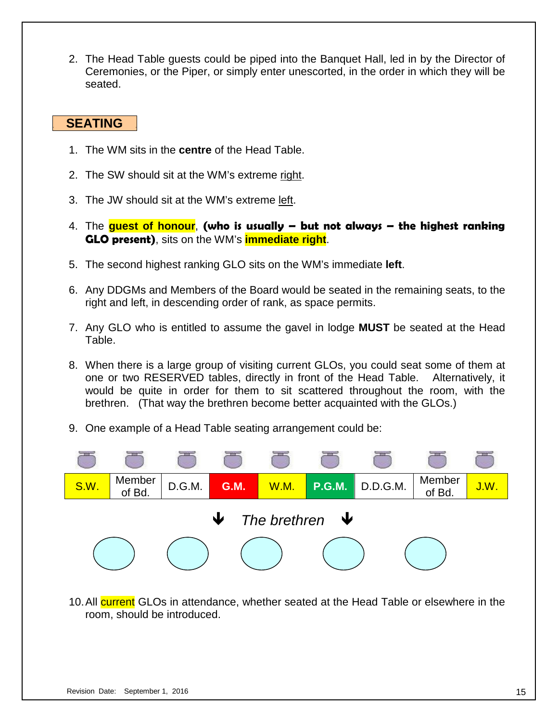2. The Head Table guests could be piped into the Banquet Hall, led in by the Director of Ceremonies, or the Piper, or simply enter unescorted, in the order in which they will be seated.

# **. SEATING .**

- 1. The WM sits in the **centre** of the Head Table.
- 2. The SW should sit at the WM's extreme right.
- 3. The JW should sit at the WM's extreme left.
- 4. The **guest of honour**, **(who is usually – but not always – the highest ranking GLO present)**, sits on the WM's **immediate right**.
- 5. The second highest ranking GLO sits on the WM's immediate **left**.
- 6. Any DDGMs and Members of the Board would be seated in the remaining seats, to the right and left, in descending order of rank, as space permits.
- 7. Any GLO who is entitled to assume the gavel in lodge **MUST** be seated at the Head Table.
- 8. When there is a large group of visiting current GLOs, you could seat some of them at one or two RESERVED tables, directly in front of the Head Table. Alternatively, it would be quite in order for them to sit scattered throughout the room, with the brethren. (That way the brethren become better acquainted with the GLOs.)
- 9. One example of a Head Table seating arrangement could be:



10. All current GLOs in attendance, whether seated at the Head Table or elsewhere in the room, should be introduced.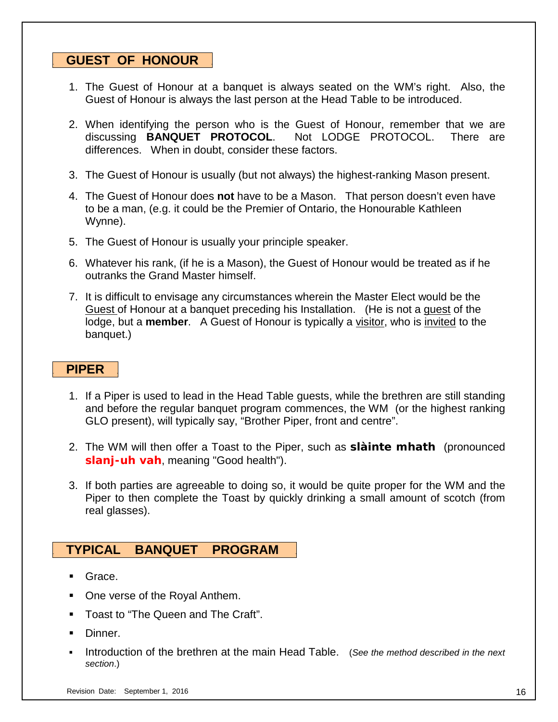## **. GUEST OF HONOUR .**

- 1. The Guest of Honour at a banquet is always seated on the WM's right. Also, the Guest of Honour is always the last person at the Head Table to be introduced.
- 2. When identifying the person who is the Guest of Honour, remember that we are discussing **BANQUET PROTOCOL**. Not LODGE PROTOCOL. There are differences. When in doubt, consider these factors.
- 3. The Guest of Honour is usually (but not always) the highest-ranking Mason present.
- 4. The Guest of Honour does **not** have to be a Mason. That person doesn't even have to be a man, (e.g. it could be the Premier of Ontario, the Honourable Kathleen Wynne).
- 5. The Guest of Honour is usually your principle speaker.
- 6. Whatever his rank, (if he is a Mason), the Guest of Honour would be treated as if he outranks the Grand Master himself.
- 7. It is difficult to envisage any circumstances wherein the Master Elect would be the Guest of Honour at a banquet preceding his Installation. (He is not a guest of the lodge, but a **member**. A Guest of Honour is typically a visitor, who is invited to the banquet.)

## **. PIPER .**

- 1. If a Piper is used to lead in the Head Table guests, while the brethren are still standing and before the regular banquet program commences, the WM (or the highest ranking GLO present), will typically say, "Brother Piper, front and centre".
- 2. The WM will then offer a Toast to the Piper, such as **slàinte mhath** (pronounced *slanj-uh vah*, meaning "Good health").
- 3. If both parties are agreeable to doing so, it would be quite proper for the WM and the Piper to then complete the Toast by quickly drinking a small amount of scotch (from real glasses).

## **. TYPICAL BANQUET PROGRAM .**

- Grace.
- One verse of the Royal Anthem.
- **Toast to "The Queen and The Craft".**
- Dinner.
- Introduction of the brethren at the main Head Table. (*See the method described in the next section*.)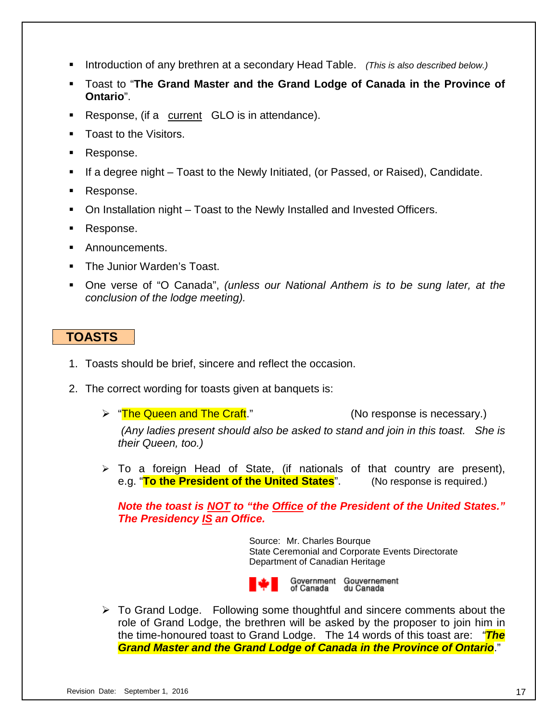- Introduction of any brethren at a secondary Head Table. *(This is also described below.)*
- Toast to "**The Grand Master and the Grand Lodge of Canada in the Province of Ontario**".
- Response, (if a current GLO is in attendance).
- Toast to the Visitors.
- Response.
- If a degree night Toast to the Newly Initiated, (or Passed, or Raised), Candidate.
- Response.
- On Installation night Toast to the Newly Installed and Invested Officers.
- Response.
- **Announcements.**
- **The Junior Warden's Toast.**
- One verse of "O Canada", *(unless our National Anthem is to be sung later, at the conclusion of the lodge meeting).*

# **. TOASTS .**

- 1. Toasts should be brief, sincere and reflect the occasion.
- 2. The correct wording for toasts given at banquets is:
	- > "The Queen and The Craft." (No response is necessary.) *(Any ladies present should also be asked to stand and join in this toast. She is their Queen, too.)*
	- $\triangleright$  To a foreign Head of State, (if nationals of that country are present), e.g. "**To the President of the United States**". (No response is required.)

*Note the toast is NOT to "the Office of the President of the United States." The Presidency IS an Office.*

> Source:Mr. Charles Bourque State Ceremonial and Corporate Events Directorate Department of Canadian Heritage



 $\triangleright$  To Grand Lodge. Following some thoughtful and sincere comments about the role of Grand Lodge, the brethren will be asked by the proposer to join him in the time-honoured toast to Grand Lodge. The 14 words of this toast are: *"The Grand Master and the Grand Lodge of Canada in the Province of Ontario*."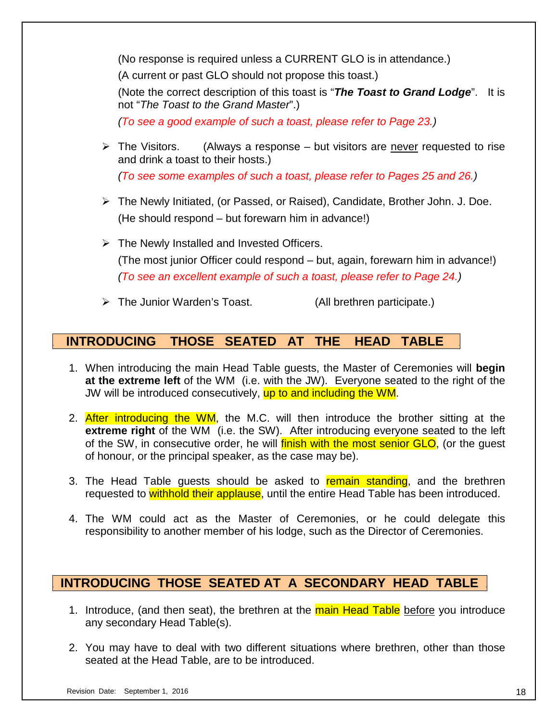(No response is required unless a CURRENT GLO is in attendance.)

(A current or past GLO should not propose this toast.)

(Note the correct description of this toast is "*The Toast to Grand Lodge*". It is not "*The Toast to the Grand Master*".)

*(To see a good example of such a toast, please refer to Page 23.)*

 $\triangleright$  The Visitors. (Always a response – but visitors are never requested to rise and drink a toast to their hosts.)

*(To see some examples of such a toast, please refer to Pages 25 and 26.)*

- The Newly Initiated, (or Passed, or Raised), Candidate, Brother John. J. Doe. (He should respond – but forewarn him in advance!)
- $\triangleright$  The Newly Installed and Invested Officers. (The most junior Officer could respond – but, again, forewarn him in advance!) *(To see an excellent example of such a toast, please refer to Page 24.)*
- > The Junior Warden's Toast. (All brethren participate.)

# **. INTRODUCING THOSE SEATED AT THE HEAD TABLE .**

- 1. When introducing the main Head Table guests, the Master of Ceremonies will **begin at the extreme left** of the WM (i.e. with the JW). Everyone seated to the right of the JW will be introduced consecutively, up to and including the WM.
- 2. After introducing the WM, the M.C. will then introduce the brother sitting at the **extreme right** of the WM (i.e. the SW). After introducing everyone seated to the left of the SW, in consecutive order, he will finish with the most senior GLO, (or the quest of honour, or the principal speaker, as the case may be).
- 3. The Head Table guests should be asked to remain standing, and the brethren requested to withhold their applause, until the entire Head Table has been introduced.
- 4. The WM could act as the Master of Ceremonies, or he could delegate this responsibility to another member of his lodge, such as the Director of Ceremonies.

# **. INTRODUCING THOSE SEATED AT A SECONDARY HEAD TABLE .**

- 1. Introduce, (and then seat), the brethren at the **main Head Table** before you introduce any secondary Head Table(s).
- 2. You may have to deal with two different situations where brethren, other than those seated at the Head Table, are to be introduced.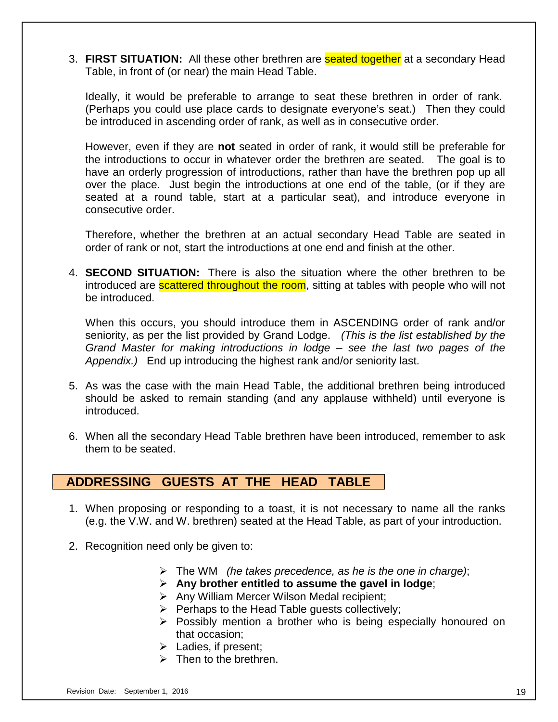3. **FIRST SITUATION:** All these other brethren are seated together at a secondary Head Table, in front of (or near) the main Head Table.

Ideally, it would be preferable to arrange to seat these brethren in order of rank. (Perhaps you could use place cards to designate everyone's seat.) Then they could be introduced in ascending order of rank, as well as in consecutive order.

However, even if they are **not** seated in order of rank, it would still be preferable for the introductions to occur in whatever order the brethren are seated. The goal is to have an orderly progression of introductions, rather than have the brethren pop up all over the place. Just begin the introductions at one end of the table, (or if they are seated at a round table, start at a particular seat), and introduce everyone in consecutive order.

Therefore, whether the brethren at an actual secondary Head Table are seated in order of rank or not, start the introductions at one end and finish at the other.

4. **SECOND SITUATION:** There is also the situation where the other brethren to be introduced are **scattered throughout the room**, sitting at tables with people who will not be introduced.

When this occurs, you should introduce them in ASCENDING order of rank and/or seniority, as per the list provided by Grand Lodge. *(This is the list established by the Grand Master for making introductions in lodge – see the last two pages of the Appendix.)* End up introducing the highest rank and/or seniority last.

- 5. As was the case with the main Head Table, the additional brethren being introduced should be asked to remain standing (and any applause withheld) until everyone is introduced.
- 6. When all the secondary Head Table brethren have been introduced, remember to ask them to be seated.

# **. ADDRESSING GUESTS AT THE HEAD TABLE .**

- 1. When proposing or responding to a toast, it is not necessary to name all the ranks (e.g. the V.W. and W. brethren) seated at the Head Table, as part of your introduction.
- 2. Recognition need only be given to:
	- The WM *(he takes precedence, as he is the one in charge)*;
	- **Any brother entitled to assume the gavel in lodge**;
	- $\triangleright$  Any William Mercer Wilson Medal recipient;
	- $\triangleright$  Perhaps to the Head Table quests collectively;
	- $\triangleright$  Possibly mention a brother who is being especially honoured on that occasion;
	- $\triangleright$  Ladies, if present;
	- $\triangleright$  Then to the brethren.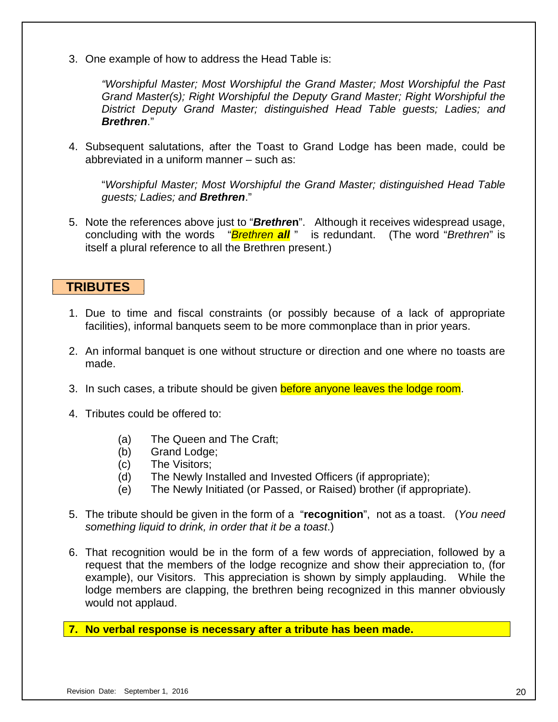3. One example of how to address the Head Table is:

*"Worshipful Master; Most Worshipful the Grand Master; Most Worshipful the Past Grand Master(s); Right Worshipful the Deputy Grand Master; Right Worshipful the District Deputy Grand Master; distinguished Head Table guests; Ladies; and Brethren*."

4. Subsequent salutations, after the Toast to Grand Lodge has been made, could be abbreviated in a uniform manner – such as:

"*Worshipful Master; Most Worshipful the Grand Master; distinguished Head Table guests; Ladies; and Brethren*."

5. Note the references above just to "*Brethre***n**". Although it receives widespread usage, concluding with the words "*Brethren all* " is redundant. (The word "*Brethren*" is itself a plural reference to all the Brethren present.)

## **. TRIBUTES .**

- 1. Due to time and fiscal constraints (or possibly because of a lack of appropriate facilities), informal banquets seem to be more commonplace than in prior years.
- 2. An informal banquet is one without structure or direction and one where no toasts are made.
- 3. In such cases, a tribute should be given before anyone leaves the lodge room.
- 4. Tributes could be offered to:
	- (a) The Queen and The Craft;
	- (b) Grand Lodge;
	- (c) The Visitors;
	- (d) The Newly Installed and Invested Officers (if appropriate);
	- (e) The Newly Initiated (or Passed, or Raised) brother (if appropriate).
- 5. The tribute should be given in the form of a "**recognition**", not as a toast. (*You need something liquid to drink, in order that it be a toast*.)
- 6. That recognition would be in the form of a few words of appreciation, followed by a request that the members of the lodge recognize and show their appreciation to, (for example), our Visitors. This appreciation is shown by simply applauding. While the lodge members are clapping, the brethren being recognized in this manner obviously would not applaud.
- **7. No verbal response is necessary after a tribute has been made.**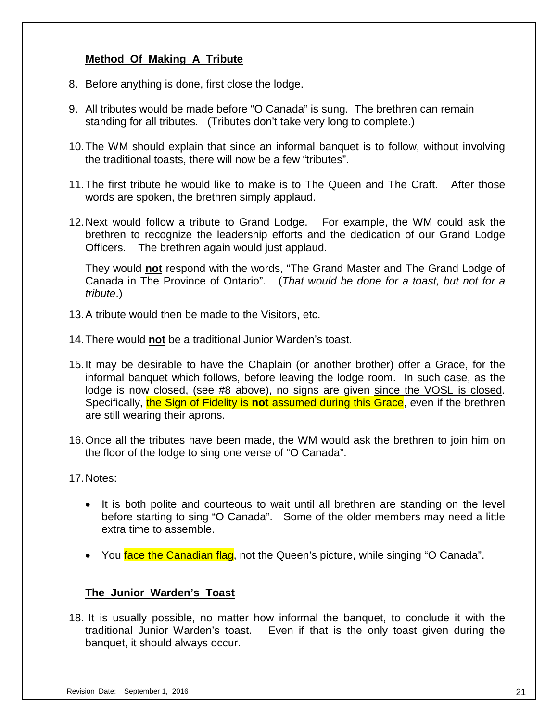## **Method Of Making A Tribute**

- 8. Before anything is done, first close the lodge.
- 9. All tributes would be made before "O Canada" is sung. The brethren can remain standing for all tributes. (Tributes don't take very long to complete.)
- 10.The WM should explain that since an informal banquet is to follow, without involving the traditional toasts, there will now be a few "tributes".
- 11.The first tribute he would like to make is to The Queen and The Craft. After those words are spoken, the brethren simply applaud.
- 12.Next would follow a tribute to Grand Lodge. For example, the WM could ask the brethren to recognize the leadership efforts and the dedication of our Grand Lodge Officers. The brethren again would just applaud.

They would **not** respond with the words, "The Grand Master and The Grand Lodge of Canada in The Province of Ontario". (*That would be done for a toast, but not for a tribute*.)

- 13.A tribute would then be made to the Visitors, etc.
- 14.There would **not** be a traditional Junior Warden's toast.
- 15.It may be desirable to have the Chaplain (or another brother) offer a Grace, for the informal banquet which follows, before leaving the lodge room. In such case, as the lodge is now closed, (see #8 above), no signs are given since the VOSL is closed. Specifically, the Sign of Fidelity is **not** assumed during this Grace, even if the brethren are still wearing their aprons.
- 16.Once all the tributes have been made, the WM would ask the brethren to join him on the floor of the lodge to sing one verse of "O Canada".
- 17.Notes:
	- It is both polite and courteous to wait until all brethren are standing on the level before starting to sing "O Canada". Some of the older members may need a little extra time to assemble.
	- You face the Canadian flag, not the Queen's picture, while singing "O Canada".

## **The Junior Warden's Toast**

18. It is usually possible, no matter how informal the banquet, to conclude it with the traditional Junior Warden's toast. Even if that is the only toast given during the banquet, it should always occur.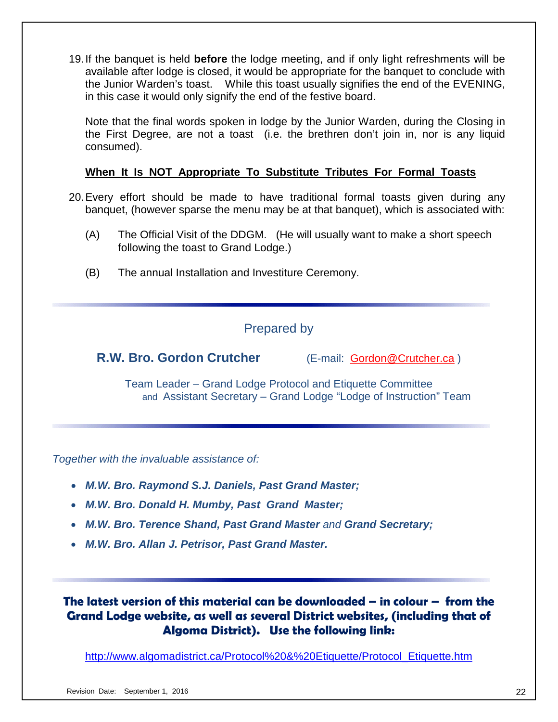19.If the banquet is held **before** the lodge meeting, and if only light refreshments will be available after lodge is closed, it would be appropriate for the banquet to conclude with the Junior Warden's toast. While this toast usually signifies the end of the EVENING, in this case it would only signify the end of the festive board.

Note that the final words spoken in lodge by the Junior Warden, during the Closing in the First Degree, are not a toast (i.e. the brethren don't join in, nor is any liquid consumed).

## **When It Is NOT Appropriate To Substitute Tributes For Formal Toasts**

- 20.Every effort should be made to have traditional formal toasts given during any banquet, (however sparse the menu may be at that banquet), which is associated with:
	- (A) The Official Visit of the DDGM. (He will usually want to make a short speech following the toast to Grand Lodge.)
	- (B) The annual Installation and Investiture Ceremony.

# Prepared by

**R.W. Bro. Gordon Crutcher** (E-mail: [Gordon@Crutcher.ca](mailto:Gordon@Crutcher.ca) )

Team Leader – Grand Lodge Protocol and Etiquette Committee and Assistant Secretary – Grand Lodge "Lodge of Instruction" Team

*Together with the invaluable assistance of:*

- *M.W. Bro. Raymond S.J. Daniels, Past Grand Master;*
- *M.W. Bro. Donald H. Mumby, Past Grand Master;*
- *M.W. Bro. Terence Shand, Past Grand Master and Grand Secretary;*
- *M.W. Bro. Allan J. Petrisor, Past Grand Master.*

**The latest version of this material can be downloaded – in colour – from the Grand Lodge website, as well as several District websites, (including that of Algoma District). Use the following link:** 

[http://www.algomadistrict.ca/Protocol%20&%20Etiquette/Protocol\\_Etiquette.htm](http://www.algomadistrict.ca/Protocol%20&%20Etiquette/Protocol_Etiquette.htm)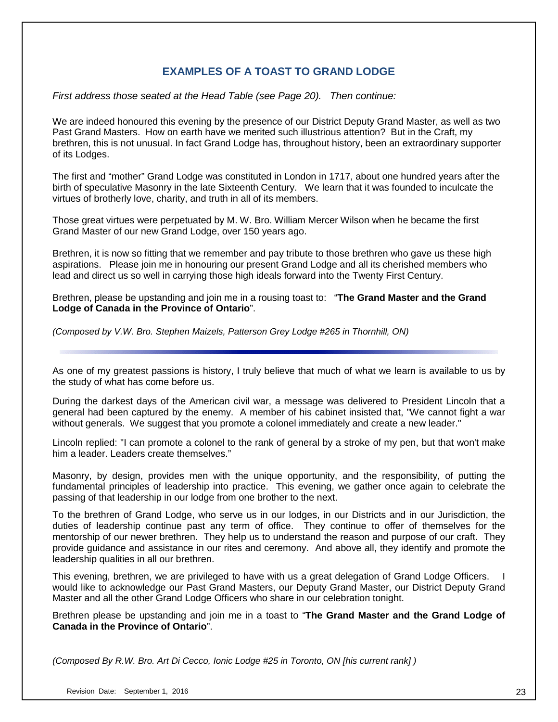## **EXAMPLES OF A TOAST TO GRAND LODGE**

*First address those seated at the Head Table (see Page 20). Then continue:*

We are indeed honoured this evening by the presence of our District Deputy Grand Master, as well as two Past Grand Masters. How on earth have we merited such illustrious attention? But in the Craft, my brethren, this is not unusual. In fact Grand Lodge has, throughout history, been an extraordinary supporter of its Lodges.

The first and "mother" Grand Lodge was constituted in London in 1717, about one hundred years after the birth of speculative Masonry in the late Sixteenth Century. We learn that it was founded to inculcate the virtues of brotherly love, charity, and truth in all of its members.

Those great virtues were perpetuated by M. W. Bro. William Mercer Wilson when he became the first Grand Master of our new Grand Lodge, over 150 years ago.

Brethren, it is now so fitting that we remember and pay tribute to those brethren who gave us these high aspirations. Please join me in honouring our present Grand Lodge and all its cherished members who lead and direct us so well in carrying those high ideals forward into the Twenty First Century.

Brethren, please be upstanding and join me in a rousing toast to: "**The Grand Master and the Grand Lodge of Canada in the Province of Ontario**".

*(Composed by V.W. Bro. Stephen Maizels, Patterson Grey Lodge #265 in Thornhill, ON)*

As one of my greatest passions is history, I truly believe that much of what we learn is available to us by the study of what has come before us.

During the darkest days of the American civil war, a message was delivered to President Lincoln that a general had been captured by the enemy. A member of his cabinet insisted that, "We cannot fight a war without generals. We suggest that you promote a colonel immediately and create a new leader."

Lincoln replied: "I can promote a colonel to the rank of general by a stroke of my pen, but that won't make him a leader. Leaders create themselves."

Masonry, by design, provides men with the unique opportunity, and the responsibility, of putting the fundamental principles of leadership into practice. This evening, we gather once again to celebrate the passing of that leadership in our lodge from one brother to the next.

To the brethren of Grand Lodge, who serve us in our lodges, in our Districts and in our Jurisdiction, the duties of leadership continue past any term of office. They continue to offer of themselves for the mentorship of our newer brethren. They help us to understand the reason and purpose of our craft. They provide guidance and assistance in our rites and ceremony. And above all, they identify and promote the leadership qualities in all our brethren.

This evening, brethren, we are privileged to have with us a great delegation of Grand Lodge Officers. I would like to acknowledge our Past Grand Masters, our Deputy Grand Master, our District Deputy Grand Master and all the other Grand Lodge Officers who share in our celebration tonight.

Brethren please be upstanding and join me in a toast to "**The Grand Master and the Grand Lodge of Canada in the Province of Ontario**".

*(Composed By R.W. Bro. Art Di Cecco, Ionic Lodge #25 in Toronto, ON [his current rank] )*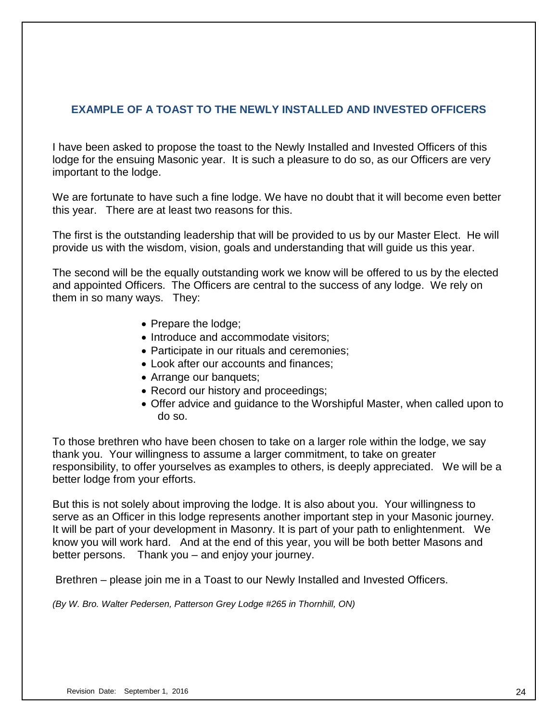## **EXAMPLE OF A TOAST TO THE NEWLY INSTALLED AND INVESTED OFFICERS**

I have been asked to propose the toast to the Newly Installed and Invested Officers of this lodge for the ensuing Masonic year. It is such a pleasure to do so, as our Officers are very important to the lodge.

We are fortunate to have such a fine lodge. We have no doubt that it will become even better this year. There are at least two reasons for this.

The first is the outstanding leadership that will be provided to us by our Master Elect. He will provide us with the wisdom, vision, goals and understanding that will guide us this year.

The second will be the equally outstanding work we know will be offered to us by the elected and appointed Officers. The Officers are central to the success of any lodge. We rely on them in so many ways. They:

- Prepare the lodge;
- Introduce and accommodate visitors;
- Participate in our rituals and ceremonies;
- Look after our accounts and finances;
- Arrange our banquets;
- Record our history and proceedings;
- Offer advice and guidance to the Worshipful Master, when called upon to do so.

To those brethren who have been chosen to take on a larger role within the lodge, we say thank you. Your willingness to assume a larger commitment, to take on greater responsibility, to offer yourselves as examples to others, is deeply appreciated. We will be a better lodge from your efforts.

But this is not solely about improving the lodge. It is also about you. Your willingness to serve as an Officer in this lodge represents another important step in your Masonic journey. It will be part of your development in Masonry. It is part of your path to enlightenment. We know you will work hard. And at the end of this year, you will be both better Masons and better persons. Thank you – and enjoy your journey.

Brethren – please join me in a Toast to our Newly Installed and Invested Officers.

*(By W. Bro. Walter Pedersen, Patterson Grey Lodge #265 in Thornhill, ON)*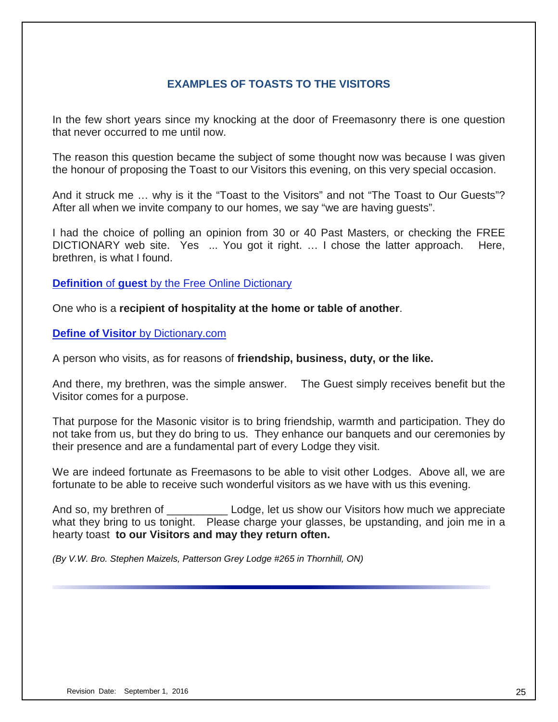## **EXAMPLES OF TOASTS TO THE VISITORS**

In the few short years since my knocking at the door of Freemasonry there is one question that never occurred to me until now.

The reason this question became the subject of some thought now was because I was given the honour of proposing the Toast to our Visitors this evening, on this very special occasion.

And it struck me … why is it the "Toast to the Visitors" and not "The Toast to Our Guests"? After all when we invite company to our homes, we say "we are having guests".

I had the choice of polling an opinion from 30 or 40 Past Masters, or checking the FREE DICTIONARY web site. Yes ... You got it right. … I chose the latter approach. Here, brethren, is what I found.

**Definition** of **guest** [by the Free Online Dictionary](http://www.thefreedictionary.com/guest)

One who is a **recipient of hospitality at the home or table of another**.

**Define of Visitor** [by Dictionary.com](http://dictionary.reference.com/browse/visitor)

A person who visits, as for reasons of **friendship, business, duty, or the like.**

And there, my brethren, was the simple answer. The Guest simply receives benefit but the Visitor comes for a purpose.

That purpose for the Masonic visitor is to bring friendship, warmth and participation. They do not take from us, but they do bring to us. They enhance our banquets and our ceremonies by their presence and are a fundamental part of every Lodge they visit.

We are indeed fortunate as Freemasons to be able to visit other Lodges. Above all, we are fortunate to be able to receive such wonderful visitors as we have with us this evening.

And so, my brethren of **Langley Lodge**, let us show our Visitors how much we appreciate what they bring to us tonight. Please charge your glasses, be upstanding, and join me in a hearty toast **to our Visitors and may they return often.**

*(By V.W. Bro. Stephen Maizels, Patterson Grey Lodge #265 in Thornhill, ON)*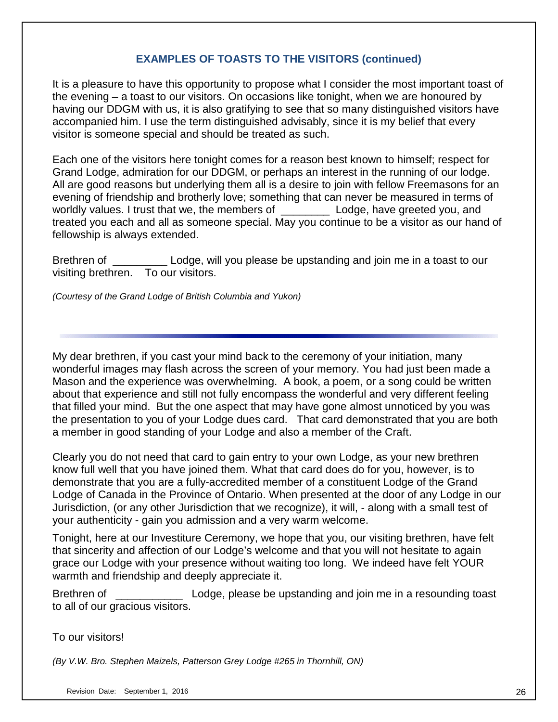## **EXAMPLES OF TOASTS TO THE VISITORS (continued)**

It is a pleasure to have this opportunity to propose what I consider the most important toast of the evening – a toast to our visitors. On occasions like tonight, when we are honoured by having our DDGM with us, it is also gratifying to see that so many distinguished visitors have accompanied him. I use the term distinguished advisably, since it is my belief that every visitor is someone special and should be treated as such.

Each one of the visitors here tonight comes for a reason best known to himself; respect for Grand Lodge, admiration for our DDGM, or perhaps an interest in the running of our lodge. All are good reasons but underlying them all is a desire to join with fellow Freemasons for an evening of friendship and brotherly love; something that can never be measured in terms of worldly values. I trust that we, the members of **Langle 2** Lodge, have greeted you, and treated you each and all as someone special. May you continue to be a visitor as our hand of fellowship is always extended.

Brethren of \_\_\_\_\_\_\_\_\_\_\_\_\_ Lodge, will you please be upstanding and join me in a toast to our visiting brethren. To our visitors.

*(Courtesy of the Grand Lodge of British Columbia and Yukon)*

My dear brethren, if you cast your mind back to the ceremony of your initiation, many wonderful images may flash across the screen of your memory. You had just been made a Mason and the experience was overwhelming. A book, a poem, or a song could be written about that experience and still not fully encompass the wonderful and very different feeling that filled your mind. But the one aspect that may have gone almost unnoticed by you was the presentation to you of your Lodge dues card. That card demonstrated that you are both a member in good standing of your Lodge and also a member of the Craft.

Clearly you do not need that card to gain entry to your own Lodge, as your new brethren know full well that you have joined them. What that card does do for you, however, is to demonstrate that you are a fully-accredited member of a constituent Lodge of the Grand Lodge of Canada in the Province of Ontario. When presented at the door of any Lodge in our Jurisdiction, (or any other Jurisdiction that we recognize), it will, - along with a small test of your authenticity - gain you admission and a very warm welcome.

Tonight, here at our Investiture Ceremony, we hope that you, our visiting brethren, have felt that sincerity and affection of our Lodge's welcome and that you will not hesitate to again grace our Lodge with your presence without waiting too long. We indeed have felt YOUR warmth and friendship and deeply appreciate it.

Brethren of **Example 2** Lodge, please be upstanding and join me in a resounding toast to all of our gracious visitors.

## To our visitors!

*(By V.W. Bro. Stephen Maizels, Patterson Grey Lodge #265 in Thornhill, ON)*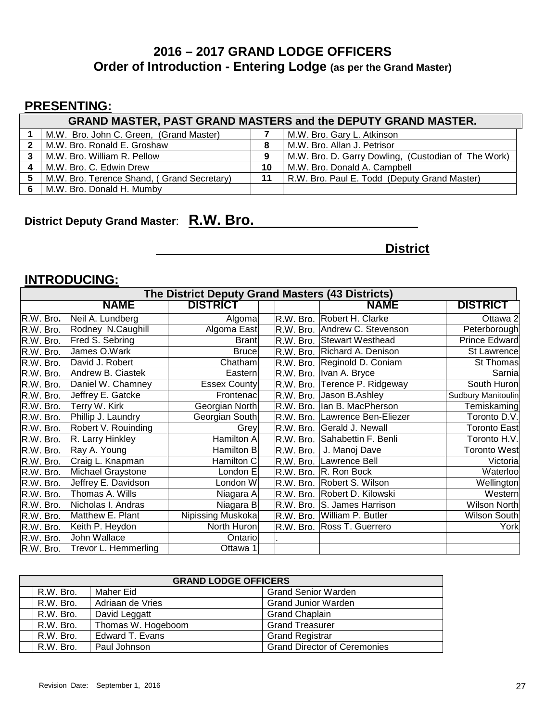# **2016 – 2017 GRAND LODGE OFFICERS Order of Introduction - Entering Lodge (as per the Grand Master)**

# **PRESENTING:**

|   | <b>GRAND MASTER, PAST GRAND MASTERS and the DEPUTY GRAND MASTER.</b> |    |                                                     |  |  |  |  |  |
|---|----------------------------------------------------------------------|----|-----------------------------------------------------|--|--|--|--|--|
|   | M.W. Bro. John C. Green, (Grand Master)                              |    | M.W. Bro. Gary L. Atkinson                          |  |  |  |  |  |
| 2 | M.W. Bro. Ronald E. Groshaw                                          |    | M.W. Bro. Allan J. Petrisor                         |  |  |  |  |  |
| 3 | M.W. Bro. William R. Pellow                                          |    | M.W. Bro. D. Garry Dowling, (Custodian of The Work) |  |  |  |  |  |
| Δ | M.W. Bro. C. Edwin Drew                                              | 10 | M.W. Bro. Donald A. Campbell                        |  |  |  |  |  |
| 5 | M.W. Bro. Terence Shand, (Grand Secretary)                           | 11 | R.W. Bro. Paul E. Todd (Deputy Grand Master)        |  |  |  |  |  |
|   | M.W. Bro. Donald H. Mumby                                            |    |                                                     |  |  |  |  |  |

# **District Deputy Grand Master**: **R.W. Bro.**

**District**

## **INTRODUCING:**

| The District Deputy Grand Masters (43 Districts) |                          |                     |           |                              |                      |  |  |
|--------------------------------------------------|--------------------------|---------------------|-----------|------------------------------|----------------------|--|--|
|                                                  | <b>NAME</b>              | <b>DISTRICT</b>     |           | <b>NAME</b>                  | <b>DISTRICT</b>      |  |  |
| R.W. Bro.                                        | Neil A. Lundberg         | Algoma              | R.W. Bro. | Robert H. Clarke             | Ottawa 2             |  |  |
| R.W. Bro.                                        | Rodney N.Caughill        | Algoma East         | R.W. Bro. | Andrew C. Stevenson          | Peterborough         |  |  |
| R.W. Bro.                                        | Fred S. Sebring          | <b>Brant</b>        |           | R.W. Bro. Stewart Westhead   | <b>Prince Edward</b> |  |  |
| R.W. Bro.                                        | James O.Wark             | <b>Bruce</b>        |           | R.W. Bro. Richard A. Denison | St Lawrence          |  |  |
| R.W. Bro.                                        | David J. Robert          | Chatham             |           | R.W. Bro. Reginold D. Coniam | St Thomas            |  |  |
| R.W. Bro.                                        | Andrew B. Ciastek        | Eastern             | R.W. Bro. | Ivan A. Bryce                | Sarnia               |  |  |
| R.W. Bro.                                        | Daniel W. Chamney        | <b>Essex County</b> | R.W. Bro. | Terence P. Ridgeway          | South Huron          |  |  |
| R.W. Bro.                                        | Jeffrey E. Gatcke        | Frontenac           | R.W. Bro. | Jason B.Ashley               | Sudbury Manitoulin   |  |  |
| R.W. Bro.                                        | Terry W. Kirk            | Georgian North      | R.W. Bro. | lan B. MacPherson            | Temiskaming          |  |  |
| R.W. Bro.                                        | Phillip J. Laundry       | Georgian South      | R.W. Bro. | Lawrence Ben-Eliezer         | Toronto D.V.         |  |  |
| R.W. Bro.                                        | Robert V. Rouinding      | Grey                | R.W. Bro. | Gerald J. Newall             | <b>Toronto East</b>  |  |  |
| R.W. Bro.                                        | R. Larry Hinkley         | <b>Hamilton A</b>   | R.W. Bro. | Sahabettin F. Benli          | Toronto H.V.         |  |  |
| R.W. Bro.                                        | Ray A. Young             | Hamilton B          | R.W. Bro. | J. Manoj Dave                | <b>Toronto West</b>  |  |  |
| R.W. Bro.                                        | Craig L. Knapman         | Hamilton C          | R.W. Bro. | Lawrence Bell                | Victoria             |  |  |
| R.W. Bro.                                        | <b>Michael Graystone</b> | London E            | R.W. Bro. | R. Ron Bock                  | Waterloo             |  |  |
| R.W. Bro.                                        | Jeffrey E. Davidson      | London W            | R.W. Bro. | Robert S. Wilson             | Wellington           |  |  |
| R.W. Bro.                                        | Thomas A. Wills          | Niagara A           | R.W. Bro. | Robert D. Kilowski           | Western              |  |  |
| R.W. Bro.                                        | Nicholas I. Andras       | Niagara B           | R.W. Bro. | S. James Harrison            | <b>Wilson North</b>  |  |  |
| R.W. Bro.                                        | Matthew E. Plant         | Nipissing Muskoka   | R.W. Bro. | William P. Butler            | Wilson South         |  |  |
| R.W. Bro.                                        | Keith P. Heydon          | North Huron         | R.W. Bro. | Ross T. Guerrero             | York                 |  |  |
| R.W. Bro.                                        | John Wallace             | Ontario             |           |                              |                      |  |  |
| R.W. Bro.                                        | Trevor L. Hemmerling     | Ottawa 1            |           |                              |                      |  |  |

| <b>GRAND LODGE OFFICERS</b> |                    |                                     |  |  |  |  |
|-----------------------------|--------------------|-------------------------------------|--|--|--|--|
| R.W. Bro.                   | Maher Eid          | <b>Grand Senior Warden</b>          |  |  |  |  |
| R.W. Bro.                   | Adriaan de Vries   | <b>Grand Junior Warden</b>          |  |  |  |  |
| R.W. Bro.                   | David Leggatt      | <b>Grand Chaplain</b>               |  |  |  |  |
| R.W. Bro.                   | Thomas W. Hogeboom | <b>Grand Treasurer</b>              |  |  |  |  |
| R.W. Bro.                   | Edward T. Evans    | <b>Grand Registrar</b>              |  |  |  |  |
| R.W. Bro.                   | Paul Johnson       | <b>Grand Director of Ceremonies</b> |  |  |  |  |